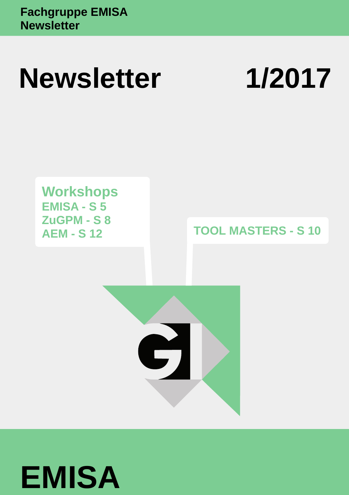# **Newsletter 1/2017**

**Workshops EMISA - S 5 ZuGPM - S 8 AEM - S 12**

**TOOL MASTERS - S 10**



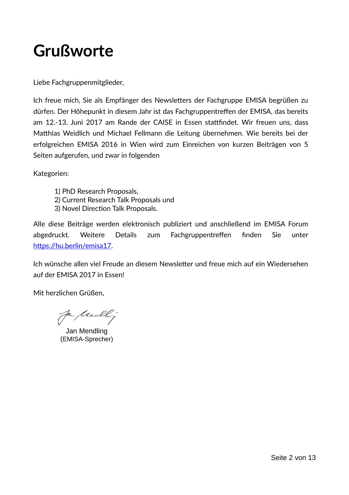## **Grußworte**

Liebe Fachgruppenmitglieder,

Ich freue mich, Sie als Empfänger des Newsletters der Fachgruppe EMISA begrüßen zu dürfen. Der Höhepunkt in diesem Jahr ist das Fachgruppentreffen der EMISA, das bereits am 12.-13. Juni 2017 am Rande der CAISE in Essen stattfindet. Wir freuen uns, dass Matthias Weidlich und Michael Fellmann die Leitung übernehmen. Wie bereits bei der erfolgreichen EMISA 2016 in Wien wird zum Einreichen von kurzen Beiträgen von 5 Seiten aufgerufen, und zwar in folgenden

Kategorien:

- 1) PhD Research Proposals,
- 2) Current Research Talk Proposals und
- 3) Novel Direction Talk Proposals.

Alle diese Beiträge werden elektronisch publiziert und anschließend im EMISA Forum abgedruckt. Weitere Details zum Fachgruppentreffen finden Sie unter [https://hu.berlin/emisa17.](https://hu.berlin/emisa17)

Ich wünsche allen viel Freude an diesem Newsletter und freue mich auf ein Wiedersehen auf der EMISA 2017 in Essen!

Mit herzlichen Grüßen,

fa freall ;

Jan Mendling (EMISA-Sprecher)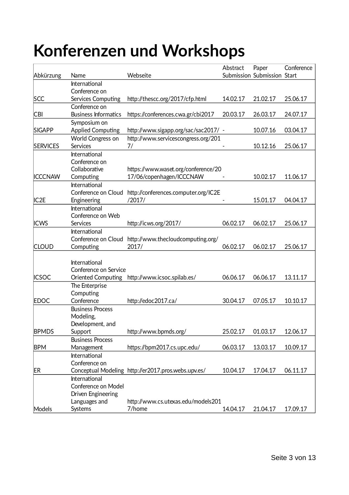## **Konferenzen und Workshops**

| Abkürzung        | Name                        | Webseite                                            | Abstract | Paper<br>Submission Submission Start | Conference |
|------------------|-----------------------------|-----------------------------------------------------|----------|--------------------------------------|------------|
|                  | International               |                                                     |          |                                      |            |
|                  | Conference on               |                                                     |          |                                      |            |
| <b>SCC</b>       | Services Computing          | http://thescc.org/2017/cfp.html                     | 14.02.17 | 21.02.17                             | 25.06.17   |
|                  | Conference on               |                                                     |          |                                      |            |
| <b>CBI</b>       | <b>Business Informatics</b> | https://conferences.cwa.gr/cbi2017                  | 20.03.17 | 26.03.17                             | 24.07.17   |
| <b>SIGAPP</b>    | Symposium on                |                                                     |          |                                      |            |
|                  | <b>Applied Computing</b>    | http://www.sigapp.org/sac/sac2017/ -                |          | 10.07.16                             | 03.04.17   |
|                  | World Congress on           | http://www.servicescongress.org/201                 |          |                                      |            |
| <b>SERVICES</b>  | Services<br>International   | 7/                                                  |          | 10.12.16                             | 25.06.17   |
|                  | Conference on               |                                                     |          |                                      |            |
|                  | Collaborative               | https://www.waset.org/conference/20                 |          |                                      |            |
| <b>ICCCNAW</b>   | Computing                   | 17/06/copenhagen/ICCCNAW                            |          | 10.02.17                             | 11.06.17   |
|                  | International               |                                                     |          |                                      |            |
|                  | Conference on Cloud         | http://conferences.computer.org/IC2E                |          |                                      |            |
| IC <sub>2E</sub> | Engineering                 | /2017/                                              |          | 15.01.17                             | 04.04.17   |
|                  | International               |                                                     |          |                                      |            |
|                  | Conference on Web           |                                                     |          |                                      |            |
| <b>ICWS</b>      | Services                    | http://icws.org/2017/                               | 06.02.17 | 06.02.17                             | 25.06.17   |
|                  | International               |                                                     |          |                                      |            |
|                  | Conference on Cloud         | http://www.thecloudcomputing.org/                   |          |                                      |            |
| <b>CLOUD</b>     | Computing                   | 2017/                                               | 06.02.17 | 06.02.17                             | 25.06.17   |
|                  |                             |                                                     |          |                                      |            |
|                  | International               |                                                     |          |                                      |            |
|                  | Conference on Service       |                                                     |          |                                      |            |
| <b>ICSOC</b>     | <b>Oriented Computing</b>   | http://www.icsoc.spilab.es/                         | 06.06.17 | 06.06.17                             | 13.11.17   |
|                  | The Enterprise              |                                                     |          |                                      |            |
|                  | Computing<br>Conference     |                                                     |          |                                      |            |
| <b>EDOC</b>      | <b>Business Process</b>     | http://edoc2017.ca/                                 | 30.04.17 | 07.05.17                             | 10.10.17   |
|                  | Modeling,                   |                                                     |          |                                      |            |
|                  | Development, and            |                                                     |          |                                      |            |
| <b>BPMDS</b>     | Support                     | http://www.bpmds.org/                               | 25.02.17 | 01.03.17                             | 12.06.17   |
|                  | <b>Business Process</b>     |                                                     |          |                                      |            |
| <b>BPM</b>       | Management                  | https://bpm2017.cs.upc.edu/                         | 06.03.17 | 13.03.17                             | 10.09.17   |
|                  | International               |                                                     |          |                                      |            |
|                  | Conference on               |                                                     |          |                                      |            |
| <b>ER</b>        |                             | Conceptual Modeling http://er2017.pros.webs.upv.es/ | 10.04.17 | 17.04.17                             | 06.11.17   |
|                  | International               |                                                     |          |                                      |            |
|                  | Conference on Model         |                                                     |          |                                      |            |
|                  | Driven Engineering          |                                                     |          |                                      |            |
|                  | Languages and               | http://www.cs.utexas.edu/models201                  |          |                                      |            |
| Models           | Systems                     | 7/home                                              | 14.04.17 | 21.04.17                             | 17.09.17   |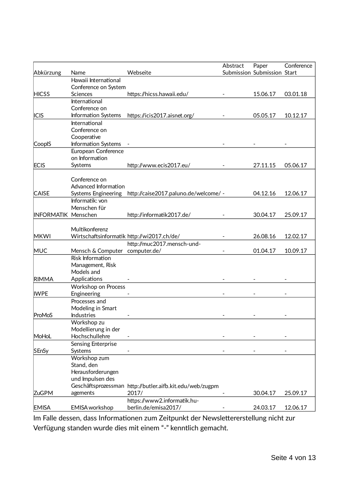| Abkürzung                  | Name                                       | Webseite                                                  | Abstract | Paper<br>Submission Submission Start | Conference |
|----------------------------|--------------------------------------------|-----------------------------------------------------------|----------|--------------------------------------|------------|
|                            | Hawaii International                       |                                                           |          |                                      |            |
|                            | Conference on System                       |                                                           |          |                                      |            |
| <b>HICSS</b>               | Sciences                                   | https://hicss.hawaii.edu/                                 |          | 15.06.17                             | 03.01.18   |
|                            | International                              |                                                           |          |                                      |            |
|                            | Conference on                              |                                                           |          |                                      |            |
| <b>ICIS</b>                | Information Systems                        | https://icis2017.aisnet.org/                              |          | 05.05.17                             | 10.12.17   |
|                            | International                              |                                                           |          |                                      |            |
|                            | Conference on                              |                                                           |          |                                      |            |
|                            | Cooperative                                |                                                           |          |                                      |            |
| CoopIS                     | Information Systems -                      |                                                           |          |                                      |            |
|                            | European Conference<br>on Information      |                                                           |          |                                      |            |
| <b>ECIS</b>                | Systems                                    |                                                           |          | 27.11.15                             | 05.06.17   |
|                            |                                            | http://www.ecis2017.eu/                                   |          |                                      |            |
|                            | Conference on                              |                                                           |          |                                      |            |
|                            | Advanced Information                       |                                                           |          |                                      |            |
| <b>CAISE</b>               |                                            | Systems Engineering http://caise2017.paluno.de/welcome/ - |          | 04.12.16                             | 12.06.17   |
|                            | Informatik: von                            |                                                           |          |                                      |            |
|                            | Menschen für                               |                                                           |          |                                      |            |
| <b>INFORMATIK Menschen</b> |                                            | http://informatik2017.de/                                 |          | 30.04.17                             | 25.09.17   |
|                            |                                            |                                                           |          |                                      |            |
|                            | Multikonferenz                             |                                                           |          |                                      |            |
| <b>MKWI</b>                | Wirtschaftsinformatik http://wi2017.ch/de/ |                                                           |          | 26.08.16                             | 12.02.17   |
|                            |                                            | http://muc2017.mensch-und-                                |          |                                      |            |
| <b>MUC</b>                 | Mensch & Computer computer.de/             |                                                           |          | 01.04.17                             | 10.09.17   |
|                            | <b>Risk Information</b>                    |                                                           |          |                                      |            |
|                            | Management, Risk                           |                                                           |          |                                      |            |
|                            | Models and                                 |                                                           |          |                                      |            |
| <b>RIMMA</b>               | Applications                               |                                                           |          |                                      |            |
|                            | Workshop on Process                        |                                                           |          |                                      |            |
| <b>IWPE</b>                | Engineering                                |                                                           |          |                                      |            |
|                            | Processes and                              |                                                           |          |                                      |            |
|                            | Modeling in Smart                          |                                                           |          |                                      |            |
| ProMoS                     | <b>Industries</b>                          |                                                           |          |                                      |            |
|                            | Workshop zu                                |                                                           |          |                                      |            |
|                            | Modellierung in der                        |                                                           |          |                                      |            |
| MoHoL                      | Hochschullehre                             |                                                           |          |                                      |            |
|                            | Sensing Enterprise                         |                                                           |          |                                      |            |
| <b>SEnSy</b>               | Systems                                    |                                                           |          |                                      |            |
|                            | Workshop zum                               |                                                           |          |                                      |            |
|                            | Stand, den<br>Herausforderungen            |                                                           |          |                                      |            |
|                            | und Impulsen des                           |                                                           |          |                                      |            |
|                            |                                            | Geschäftsprozessman http://butler.aifb.kit.edu/web/zugpm  |          |                                      |            |
| <b>ZuGPM</b>               | agements                                   | 2017/                                                     |          | 30.04.17                             | 25.09.17   |
|                            |                                            | https://www2.informatik.hu-                               |          |                                      |            |
| <b>EMISA</b>               | EMISA workshop                             | berlin.de/emisa2017/                                      |          | 24.03.17                             | 12.06.17   |
|                            |                                            |                                                           |          |                                      |            |

Im Falle dessen, dass Informationen zum Zeitpunkt der Newslettererstellung nicht zur Verfügung standen wurde dies mit einem "-" kenntlich gemacht.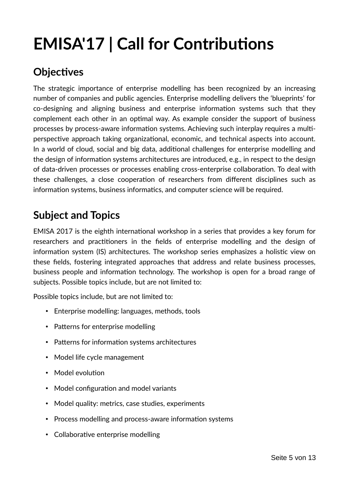## **EMISA'17 | Call for Contributions**

### **Objectives**

The strategic importance of enterprise modelling has been recognized by an increasing number of companies and public agencies. Enterprise modelling delivers the 'blueprints' for co-designing and aligning business and enterprise information systems such that they complement each other in an optimal way. As example consider the support of business processes by process-aware information systems. Achieving such interplay requires a multiperspective approach taking organizational, economic, and technical aspects into account. In a world of cloud, social and big data, additional challenges for enterprise modelling and the design of information systems architectures are introduced, e.g., in respect to the design of data-driven processes or processes enabling cross-enterprise collaboration. To deal with these challenges, a close cooperation of researchers from different disciplines such as information systems, business informatics, and computer science will be required.

### **Subject and Topics**

EMISA 2017 is the eighth international workshop in a series that provides a key forum for researchers and practitioners in the fields of enterprise modelling and the design of information system (IS) architectures. The workshop series emphasizes a holistic view on these fields, fostering integrated approaches that address and relate business processes, business people and information technology. The workshop is open for a broad range of subjects. Possible topics include, but are not limited to:

Possible topics include, but are not limited to:

- Enterprise modelling: languages, methods, tools
- Patterns for enterprise modelling
- Patterns for information systems architectures
- Model life cycle management
- Model evolution
- Model configuration and model variants
- Model quality: metrics, case studies, experiments
- Process modelling and process-aware information systems
- Collaborative enterprise modelling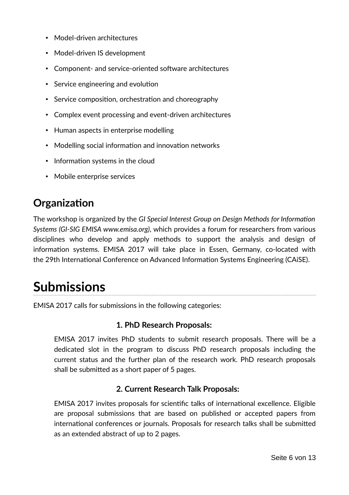- Model-driven architectures
- Model-driven IS development
- Component- and service-oriented software architectures
- Service engineering and evolution
- Service composition, orchestration and choreography
- Complex event processing and event-driven architectures
- Human aspects in enterprise modelling
- Modelling social information and innovation networks
- Information systems in the cloud
- Mobile enterprise services

### **Organization**

The workshop is organized by the *GI Special Interest Group on Design Methods for Information Systems (GI-SIG EMISA [www.emisa.org\)](http://www.emisa.org/)*, which provides a forum for researchers from various disciplines who develop and apply methods to support the analysis and design of information systems. EMISA 2017 will take place in Essen, Germany, co-located with the [29th International Conference on Advanced Information Systems Engineering \(CAiSE\).](http://caise2017.paluno.de/)

## **Submissions**

EMISA 2017 calls for submissions in the following categories:

#### **1. PhD Research Proposals:**

EMISA 2017 invites PhD students to submit research proposals. There will be a dedicated slot in the program to discuss PhD research proposals including the current status and the further plan of the research work. PhD research proposals shall be submitted as a short paper of 5 pages.

#### **2. Current Research Talk Proposals:**

EMISA 2017 invites proposals for scientific talks of international excellence. Eligible are proposal submissions that are based on published or accepted papers from international conferences or journals. Proposals for research talks shall be submitted as an extended abstract of up to 2 pages.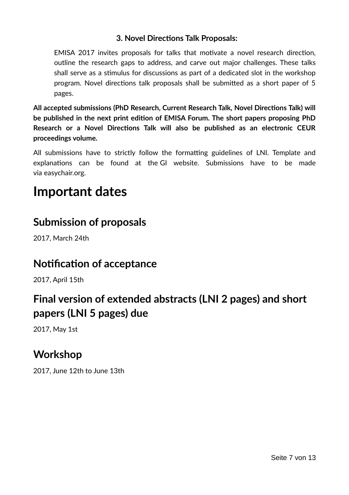#### **3. Novel Directions Talk Proposals:**

EMISA 2017 invites proposals for talks that motivate a novel research direction, outline the research gaps to address, and carve out major challenges. These talks shall serve as a stimulus for discussions as part of a dedicated slot in the workshop program. Novel directions talk proposals shall be submitted as a short paper of 5 pages.

**All accepted submissions (PhD Research, Current Research Talk, Novel Directions Talk) will be published in the next print edition of EMISA Forum. The short papers proposing PhD Research or a Novel Directions Talk will also be published as an electronic CEUR proceedings volume.**

All submissions have to strictly follow the formatting guidelines of LNI. Template and explanations can be found at the [GI website.](https://www.gi.de/service/publikationen/lni/autorenrichtlinien.html) Submissions have to be made via [easychair.org.](https://easychair.org/conferences/?conf=emisa2017%3Eeasychair.org)

## **Important dates**

#### **Submission of proposals**

2017, March 24th

#### **Notification of acceptance**

2017, April 15th

### **Final version of extended abstracts (LNI 2 pages) and short papers (LNI 5 pages) due**

2017, May 1st

#### **Workshop**

2017, June 12th to June 13th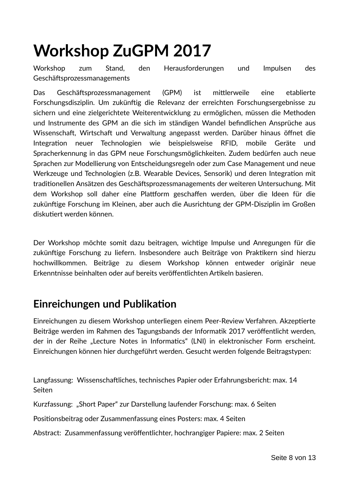## **[Workshop ZuGPM 2017](http://butler.aifb.kit.edu/web/zugpm2017/)**

Workshop zum Stand, den Herausforderungen und Impulsen des Geschäftsprozessmanagements

Das Geschäftsprozessmanagement (GPM) ist mittlerweile eine etablierte Forschungsdisziplin. Um zukünftig die Relevanz der erreichten Forschungsergebnisse zu sichern und eine zielgerichtete Weiterentwicklung zu ermöglichen, müssen die Methoden und Instrumente des GPM an die sich im ständigen Wandel befindlichen Ansprüche aus Wissenschaft, Wirtschaft und Verwaltung angepasst werden. Darüber hinaus öffnet die Integration neuer Technologien wie beispielsweise RFID, mobile Geräte und Spracherkennung in das GPM neue Forschungsmöglichkeiten. Zudem bedürfen auch neue Sprachen zur Modellierung von Entscheidungsregeln oder zum Case Management und neue Werkzeuge und Technologien (z.B. Wearable Devices, Sensorik) und deren Integration mit traditionellen Ansätzen des Geschäftsprozessmanagements der weiteren Untersuchung. Mit dem Workshop soll daher eine Plattform geschaffen werden, über die Ideen für die zukünftige Forschung im Kleinen, aber auch die Ausrichtung der GPM-Disziplin im Großen diskutiert werden können.

Der Workshop möchte somit dazu beitragen, wichtige Impulse und Anregungen für die zukünftige Forschung zu liefern. Insbesondere auch Beiträge von Praktikern sind hierzu hochwillkommen. Beiträge zu diesem Workshop können entweder originär neue Erkenntnisse beinhalten oder auf bereits veröffentlichten Artikeln basieren.

#### **Einreichungen und Publikation**

Einreichungen zu diesem Workshop unterliegen einem Peer-Review Verfahren. Akzeptierte Beiträge werden im Rahmen des Tagungsbands der Informatik 2017 veröffentlicht werden, der in der Reihe "Lecture Notes in Informatics" (LNI) in elektronischer Form erscheint. Einreichungen können hier durchgeführt werden. Gesucht werden folgende Beitragstypen:

Langfassung: Wissenschaftliches, technisches Papier oder Erfahrungsbericht: max. 14 Seiten

Kurzfassung: "Short Paper" zur Darstellung laufender Forschung: max. 6 Seiten

Positionsbeitrag oder Zusammenfassung eines Posters: max. 4 Seiten

Abstract: Zusammenfassung veröffentlichter, hochrangiger Papiere: max. 2 Seiten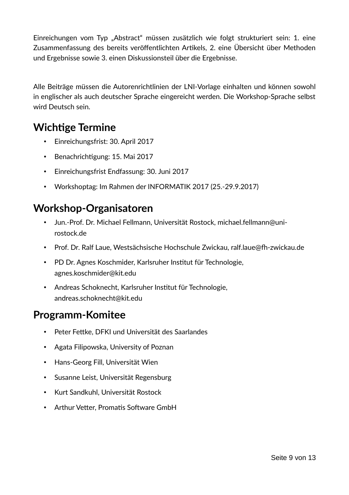Einreichungen vom Typ "Abstract" müssen zusätzlich wie folgt strukturiert sein: 1. eine Zusammenfassung des bereits veröffentlichten Artikels, 2. eine Übersicht über Methoden und Ergebnisse sowie 3. einen Diskussionsteil über die Ergebnisse.

Alle Beiträge müssen die Autorenrichtlinien der LNI-Vorlage einhalten und können sowohl in englischer als auch deutscher Sprache eingereicht werden. Die Workshop-Sprache selbst wird Deutsch sein.

### **Wichtige Termine**

- Einreichungsfrist: 30. April 2017
- Benachrichtigung: 15. Mai 2017
- Einreichungsfrist Endfassung: 30. Juni 2017
- Workshoptag: Im Rahmen der INFORMATIK 2017 (25.-29.9.2017)

#### **Workshop-Organisatoren**

- Jun.-Prof. Dr. Michael Fellmann, Universität Rostock, michael.fellmann@unirostock.de
- Prof. Dr. Ralf Laue, Westsächsische Hochschule Zwickau, ralf.laue@fh-zwickau.de
- PD Dr. Agnes Koschmider, Karlsruher Institut für Technologie, agnes.koschmider@kit.edu
- Andreas Schoknecht, Karlsruher Institut für Technologie, andreas.schoknecht@kit.edu

#### **Programm-Komitee**

- Peter Fettke, DFKI und Universität des Saarlandes
- Agata Filipowska, University of Poznan
- Hans-Georg Fill, Universität Wien
- Susanne Leist, Universität Regensburg
- Kurt Sandkuhl, Universität Rostock
- Arthur Vetter, Promatis Software GmbH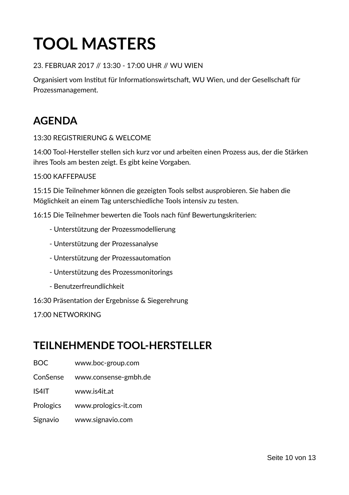## **TOOL MASTERS**

#### 23. FEBRUAR 2017 // 13:30 - 17:00 UHR // WU WIEN

Organisiert vom Institut für Informationswirtschaft, WU Wien, und der Gesellschaft für Prozessmanagement.

## **AGENDA**

#### 13:30 REGISTRIERUNG & WELCOME

14:00 Tool-Hersteller stellen sich kurz vor und arbeiten einen Prozess aus, der die Stärken ihres Tools am besten zeigt. Es gibt keine Vorgaben.

#### 15:00 KAFFEPAUSE

15:15 Die Teilnehmer können die gezeigten Tools selbst ausprobieren. Sie haben die Möglichkeit an einem Tag unterschiedliche Tools intensiv zu testen.

16:15 Die Teilnehmer bewerten die Tools nach fünf Bewertungskriterien:

- Unterstützung der Prozessmodellierung
- Unterstützung der Prozessanalyse
- Unterstützung der Prozessautomation
- Unterstützung des Prozessmonitorings
- Benutzerfreundlichkeit

16:30 Präsentation der Ergebnisse & Siegerehrung

17:00 NETWORKING

#### **TEILNEHMENDE TOOL-HERSTELLER**

BOC www.boc-group.com

ConSense www.consense-gmbh.de

IS4IT www.is4it.at

- Prologics www.prologics-it.com
- Signavio www.signavio.com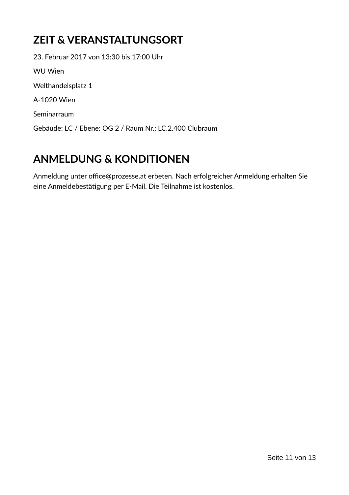## **ZEIT & VERANSTALTUNGSORT**

23. Februar 2017 von 13:30 bis 17:00 Uhr WU Wien Welthandelsplatz 1 A-1020 Wien Seminarraum Gebäude: LC / Ebene: OG 2 / Raum Nr.: LC.2.400 Clubraum

## **ANMELDUNG & KONDITIONEN**

Anmeldung unter office@prozesse.at erbeten. Nach erfolgreicher Anmeldung erhalten Sie eine Anmeldebestätigung per E-Mail. Die Teilnahme ist kostenlos.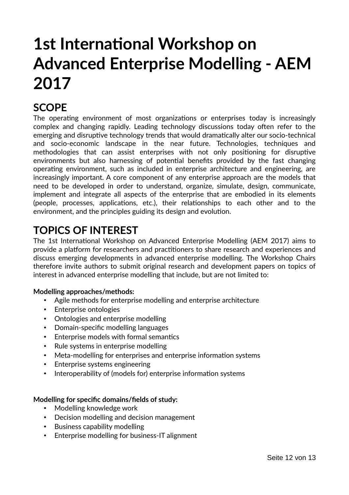## **1st International Workshop on Advanced Enterprise Modelling - AEM 2017**

### **SCOPE**

The operating environment of most organizations or enterprises today is increasingly complex and changing rapidly. Leading technology discussions today often refer to the emerging and disruptive technology trends that would dramatically alter our socio-technical and socio-economic landscape in the near future. Technologies, techniques and methodologies that can assist enterprises with not only positioning for disruptive environments but also harnessing of potential benefits provided by the fast changing operating environment, such as included in enterprise architecture and engineering, are increasingly important. A core component of any enterprise approach are the models that need to be developed in order to understand, organize, simulate, design, communicate, implement and integrate all aspects of the enterprise that are embodied in its elements (people, processes, applications, etc.), their relationships to each other and to the environment, and the principles guiding its design and evolution.

### **TOPICS OF INTEREST**

The 1st International Workshop on Advanced Enterprise Modelling (AEM 2017) aims to provide a platform for researchers and practitioners to share research and experiences and discuss emerging developments in advanced enterprise modelling. The Workshop Chairs therefore invite authors to submit original research and development papers on topics of interest in advanced enterprise modelling that include, but are not limited to:

#### **Modelling approaches/methods:**

- Agile methods for enterprise modelling and enterprise architecture
- Enterprise ontologies
- Ontologies and enterprise modelling
- Domain-specific modelling languages
- Enterprise models with formal semantics
- Rule systems in enterprise modelling
- Meta-modelling for enterprises and enterprise information systems
- Enterprise systems engineering
- Interoperability of (models for) enterprise information systems

#### **Modelling for specific domains/fields of study:**

- Modelling knowledge work
- Decision modelling and decision management
- Business capability modelling
- Enterprise modelling for business-IT alignment